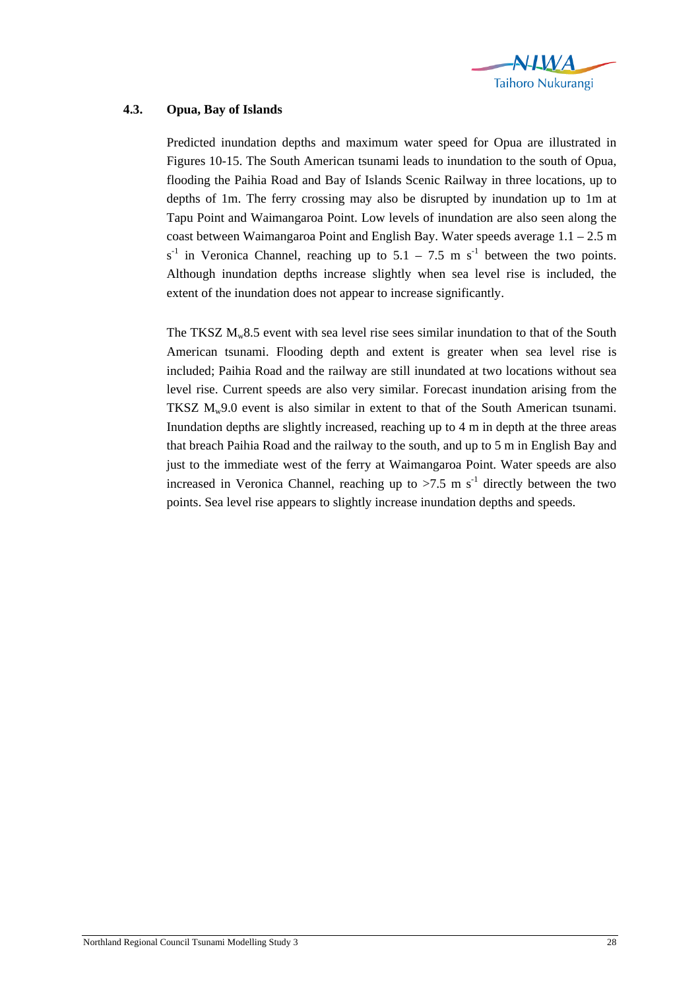

## **4.3. Opua, Bay of Islands**

Predicted inundation depths and maximum water speed for Opua are illustrated in Figures 10-15. The South American tsunami leads to inundation to the south of Opua, flooding the Paihia Road and Bay of Islands Scenic Railway in three locations, up to depths of 1m. The ferry crossing may also be disrupted by inundation up to 1m at Tapu Point and Waimangaroa Point. Low levels of inundation are also seen along the coast between Waimangaroa Point and English Bay. Water speeds average 1.1 – 2.5 m  $s^{-1}$  in Veronica Channel, reaching up to 5.1 – 7.5 m s<sup>-1</sup> between the two points. Although inundation depths increase slightly when sea level rise is included, the extent of the inundation does not appear to increase significantly.

The TKSZ  $M_w8.5$  event with sea level rise sees similar inundation to that of the South American tsunami. Flooding depth and extent is greater when sea level rise is included; Paihia Road and the railway are still inundated at two locations without sea level rise. Current speeds are also very similar. Forecast inundation arising from the TKSZ  $M_w$ 9.0 event is also similar in extent to that of the South American tsunami. Inundation depths are slightly increased, reaching up to 4 m in depth at the three areas that breach Paihia Road and the railway to the south, and up to 5 m in English Bay and just to the immediate west of the ferry at Waimangaroa Point. Water speeds are also increased in Veronica Channel, reaching up to  $>7.5$  m s<sup>-1</sup> directly between the two points. Sea level rise appears to slightly increase inundation depths and speeds.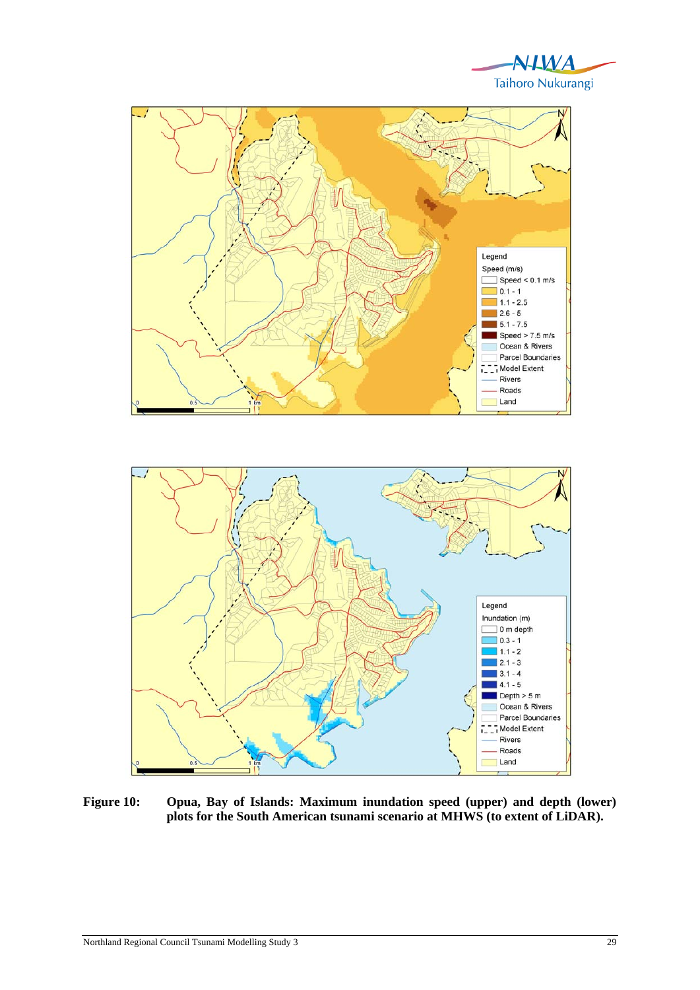



**Figure 10: Opua, Bay of Islands: Maximum inundation speed (upper) and depth (lower) plots for the South American tsunami scenario at MHWS (to extent of LiDAR).**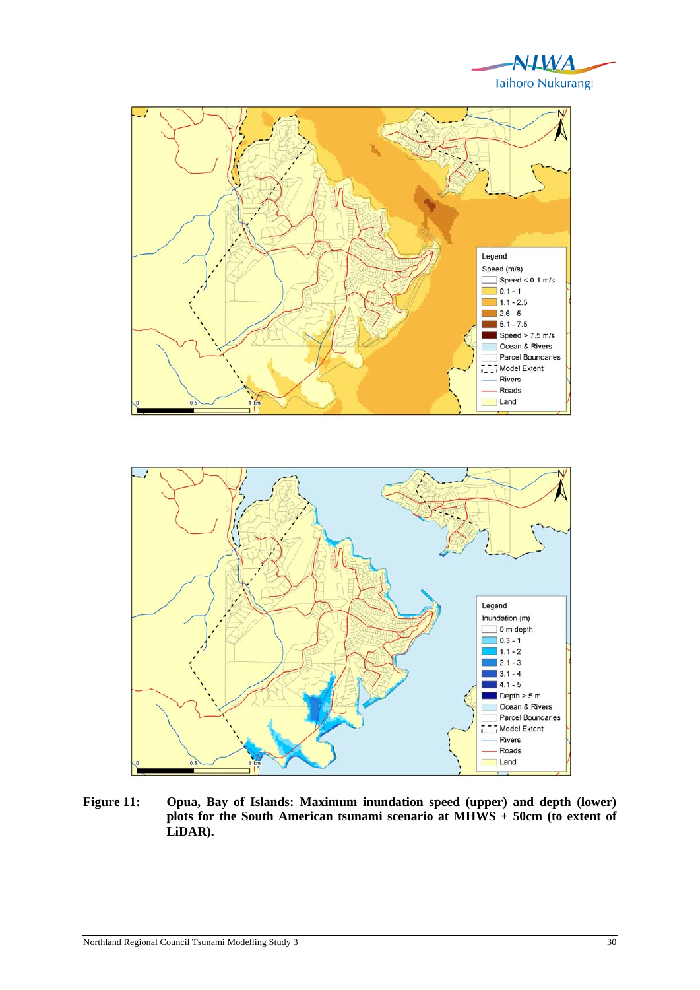



**Figure 11: Opua, Bay of Islands: Maximum inundation speed (upper) and depth (lower) plots for the South American tsunami scenario at MHWS + 50cm (to extent of LiDAR).**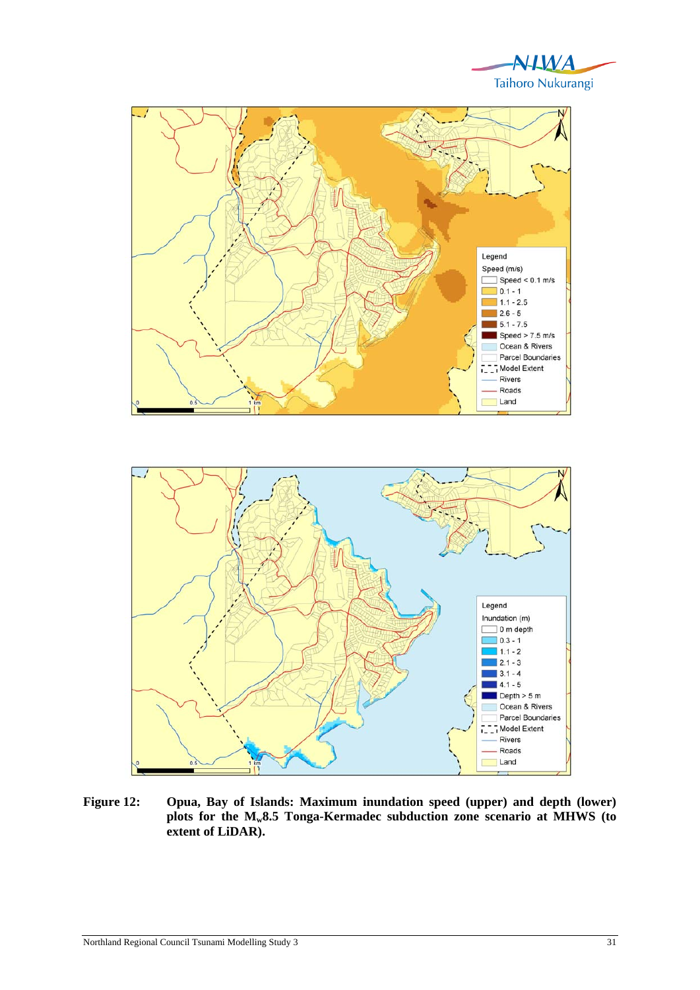



**Figure 12: Opua, Bay of Islands: Maximum inundation speed (upper) and depth (lower) plots for the Mw8.5 Tonga-Kermadec subduction zone scenario at MHWS (to extent of LiDAR).** 

T. T. Model Extent Rivers Roads Land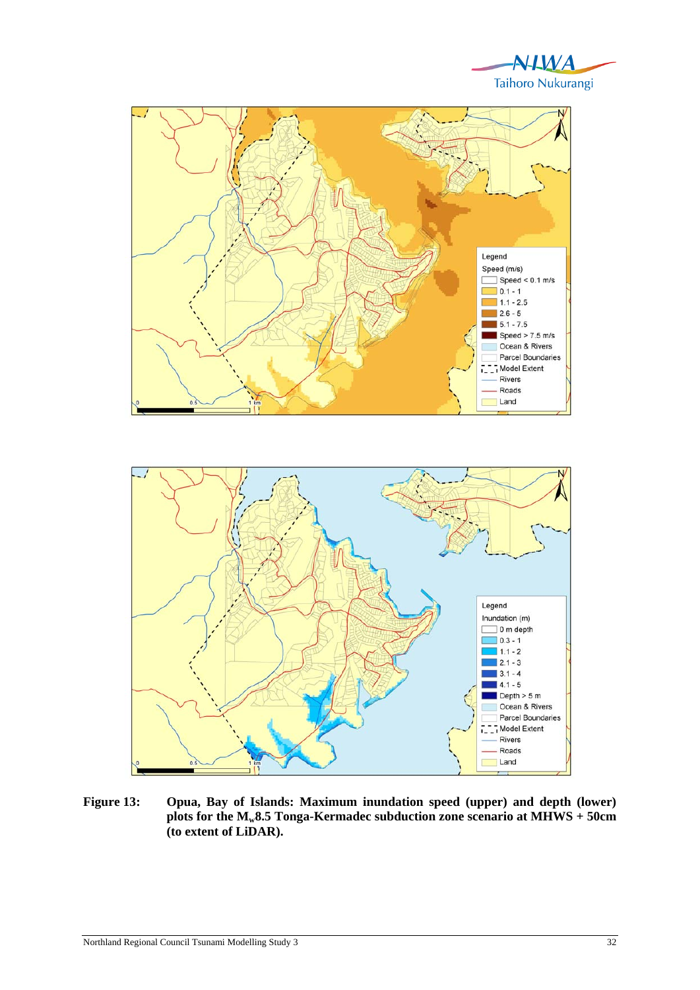





**plots for the Mw8.5 Tonga-Kermadec subduction zone scenario at MHWS + 50cm (to extent of LiDAR).** 

Ocean & Rivers Parcel Boundaries T. T. Model Extent Rivers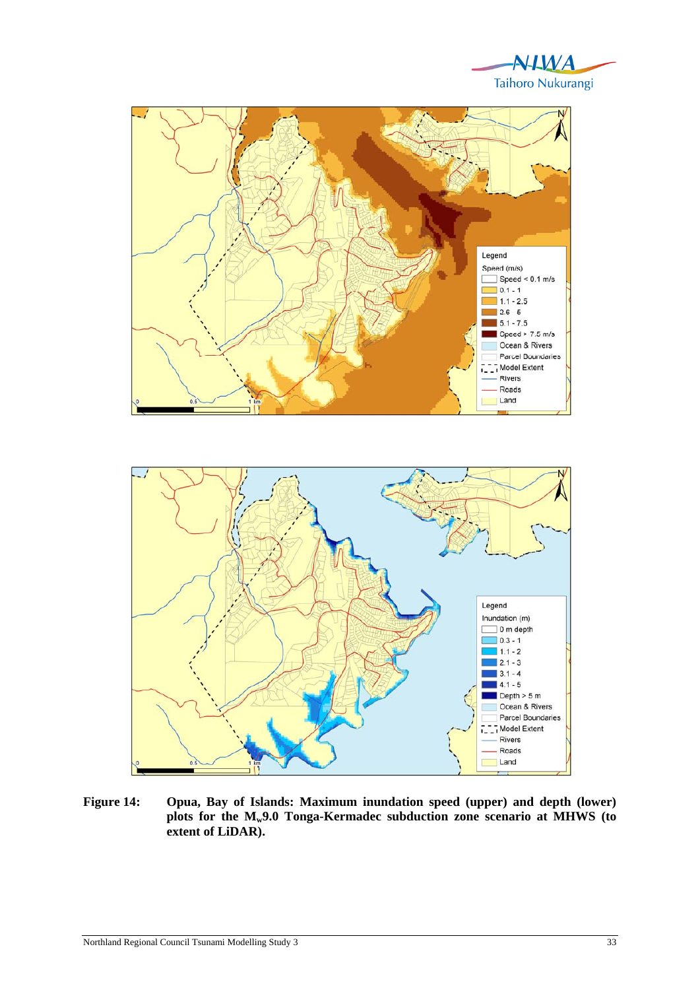

 $2.1 - 3$  $3.1 - 4$  $4.1 - 5$ Depth  $> 5 m$ Ocean & Rivers Parcel Boundaries T. T. Model Extent Rivers Roads Land